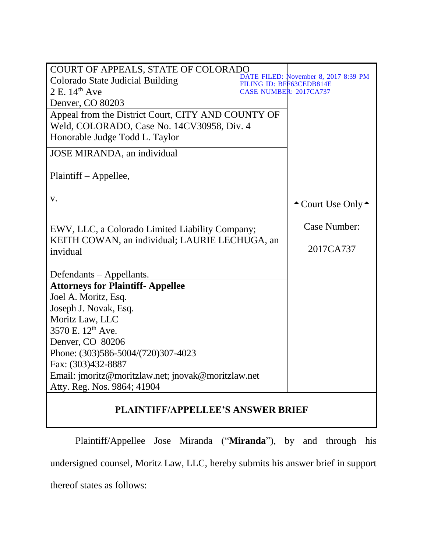| COURT OF APPEALS, STATE OF COLORADO                |                                                                  |
|----------------------------------------------------|------------------------------------------------------------------|
| Colorado State Judicial Building                   | DATE FILED: November 8, 2017 8:39 PM<br>FILING ID: BFF63CEDB814E |
| $2 E. 14th$ Ave                                    | <b>CASE NUMBER: 2017CA737</b>                                    |
| Denver, CO 80203                                   |                                                                  |
| Appeal from the District Court, CITY AND COUNTY OF |                                                                  |
| Weld, COLORADO, Case No. 14CV30958, Div. 4         |                                                                  |
| Honorable Judge Todd L. Taylor                     |                                                                  |
| JOSE MIRANDA, an individual                        |                                                                  |
| Plaintiff – Appellee,                              |                                                                  |
| V.                                                 | $\triangle$ Court Use Only $\triangle$                           |
| EWV, LLC, a Colorado Limited Liability Company;    | Case Number:                                                     |
| KEITH COWAN, an individual; LAURIE LECHUGA, an     |                                                                  |
| invidual                                           | 2017CA737                                                        |
|                                                    |                                                                  |
| Defendants – Appellants.                           |                                                                  |
| <b>Attorneys for Plaintiff- Appellee</b>           |                                                                  |
| Joel A. Moritz, Esq.                               |                                                                  |
| Joseph J. Novak, Esq.                              |                                                                  |
| Moritz Law, LLC                                    |                                                                  |
| 3570 E. 12 <sup>th</sup> Ave.                      |                                                                  |
| Denver, CO 80206                                   |                                                                  |
| Phone: (303)586-5004/(720)307-4023                 |                                                                  |
| Fax: (303)432-8887                                 |                                                                  |
| Email: imoritz@moritzlaw.net; inovak@moritzlaw.net |                                                                  |
| Atty. Reg. Nos. 9864; 41904                        |                                                                  |
| <b>PLAINTIFF/APPELLEE'S ANSWER BRIEF</b>           |                                                                  |

Plaintiff/Appellee Jose Miranda ("**Miranda**"), by and through his undersigned counsel, Moritz Law, LLC, hereby submits his answer brief in support thereof states as follows: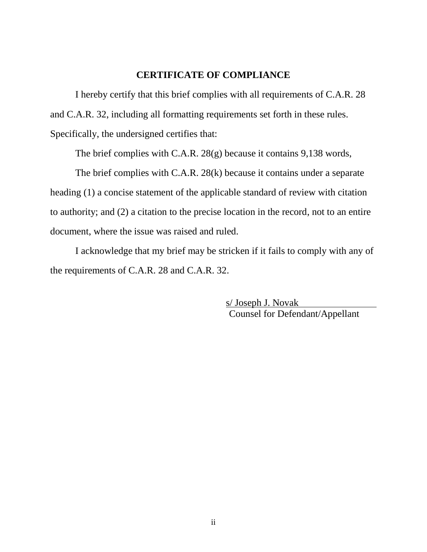#### **CERTIFICATE OF COMPLIANCE**

I hereby certify that this brief complies with all requirements of C.A.R. 28 and C.A.R. 32, including all formatting requirements set forth in these rules. Specifically, the undersigned certifies that:

The brief complies with C.A.R. 28(g) because it contains 9,138 words,

The brief complies with C.A.R. 28(k) because it contains under a separate heading (1) a concise statement of the applicable standard of review with citation to authority; and (2) a citation to the precise location in the record, not to an entire document, where the issue was raised and ruled.

I acknowledge that my brief may be stricken if it fails to comply with any of the requirements of C.A.R. 28 and C.A.R. 32.

> s/ Joseph J. Novak Counsel for Defendant/Appellant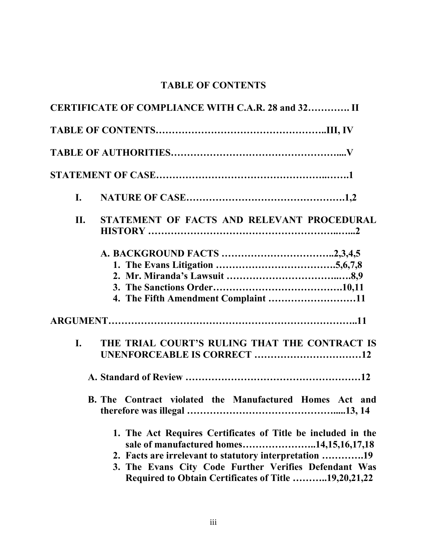# **TABLE OF CONTENTS**

|     | CERTIFICATE OF COMPLIANCE WITH C.A.R. 28 and 32 II                                                                                                                                                                                                                                  |
|-----|-------------------------------------------------------------------------------------------------------------------------------------------------------------------------------------------------------------------------------------------------------------------------------------|
|     |                                                                                                                                                                                                                                                                                     |
|     |                                                                                                                                                                                                                                                                                     |
|     |                                                                                                                                                                                                                                                                                     |
| I.  |                                                                                                                                                                                                                                                                                     |
| II. | STATEMENT OF FACTS AND RELEVANT PROCEDURAL                                                                                                                                                                                                                                          |
|     | 4. The Fifth Amendment Complaint 11                                                                                                                                                                                                                                                 |
|     |                                                                                                                                                                                                                                                                                     |
| L.  | THE TRIAL COURT'S RULING THAT THE CONTRACT IS<br>UNENFORCEABLE IS CORRECT 12                                                                                                                                                                                                        |
|     | B. The Contract violated the Manufactured Homes Act and                                                                                                                                                                                                                             |
|     | 1. The Act Requires Certificates of Title be included in the<br>sale of manufactured homes14,15,16,17,18<br>2. Facts are irrelevant to statutory interpretation 19<br>3. The Evans City Code Further Verifies Defendant Was<br>Required to Obtain Certificates of Title 19,20,21,22 |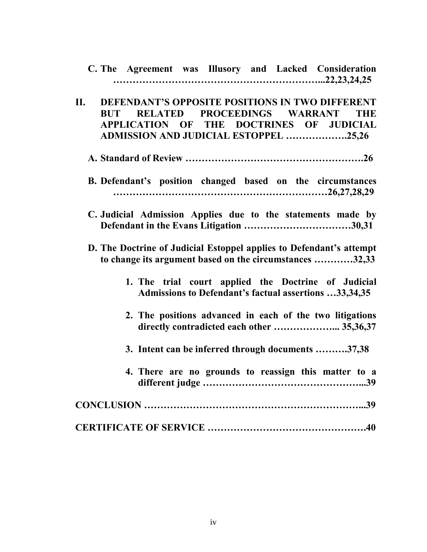| C. The Agreement was Illusory and Lacked Consideration                                                                                                                                                 |
|--------------------------------------------------------------------------------------------------------------------------------------------------------------------------------------------------------|
| DEFENDANT'S OPPOSITE POSITIONS IN TWO DIFFERENT<br>II.<br>RELATED PROCEEDINGS WARRANT<br><b>BUT</b><br><b>THE</b><br>APPLICATION OF THE DOCTRINES OF JUDICIAL<br>ADMISSION AND JUDICIAL ESTOPPEL 25,26 |
|                                                                                                                                                                                                        |
| B. Defendant's position changed based on the circumstances                                                                                                                                             |
| C. Judicial Admission Applies due to the statements made by                                                                                                                                            |
| D. The Doctrine of Judicial Estoppel applies to Defendant's attempt<br>to change its argument based on the circumstances 32,33                                                                         |
| 1. The trial court applied the Doctrine of Judicial<br>Admissions to Defendant's factual assertions 33,34,35                                                                                           |
| 2. The positions advanced in each of the two litigations<br>directly contradicted each other  35,36,37                                                                                                 |
| 3. Intent can be inferred through documents 37,38                                                                                                                                                      |
| 4. There are no grounds to reassign this matter to a                                                                                                                                                   |
|                                                                                                                                                                                                        |
|                                                                                                                                                                                                        |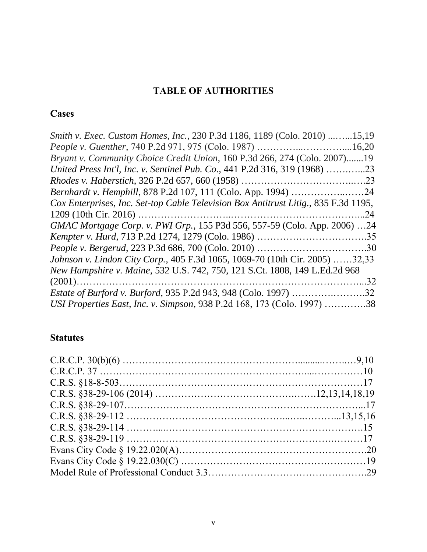# **TABLE OF AUTHORITIES**

# **Cases**

| Smith v. Exec. Custom Homes, Inc., 230 P.3d 1186, 1189 (Colo. 2010) 15,19           |
|-------------------------------------------------------------------------------------|
| <i>People v. Guenther, 740 P.2d 971, 975 (Colo. 1987) </i><br>.16,20                |
| Bryant v. Community Choice Credit Union, 160 P.3d 266, 274 (Colo. 2007)19           |
| United Press Int'l, Inc. v. Sentinel Pub. Co., 441 P.2d 316, 319 (1968) 23          |
|                                                                                     |
| <i>Bernhardt v. Hemphill, 878 P.2d 107, 111 (Colo. App. 1994) 24</i>                |
| Cox Enterprises, Inc. Set-top Cable Television Box Antitrust Litig., 835 F.3d 1195, |
| 24                                                                                  |
| GMAC Mortgage Corp. v. PWI Grp., 155 P3d 556, 557-59 (Colo. App. 2006) 24           |
|                                                                                     |
|                                                                                     |
| Johnson v. Lindon City Corp., 405 F.3d 1065, 1069-70 (10th Cir. 2005) 32,33         |
| New Hampshire v. Maine, 532 U.S. 742, 750, 121 S.Ct. 1808, 149 L.Ed.2d 968          |
| 32                                                                                  |
| <i>Estate of Burford v. Burford, 935 P.2d 943, 948 (Colo. 1997) </i><br>.32         |
| USI Properties East, Inc. v. Simpson, 938 P.2d 168, 173 (Colo. 1997) 38             |
|                                                                                     |

# **Statutes**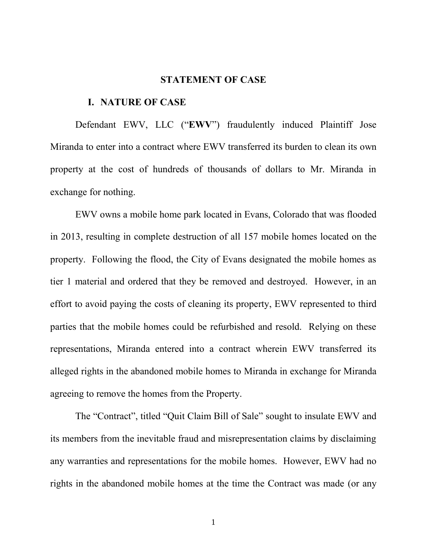#### **STATEMENT OF CASE**

#### **I. NATURE OF CASE**

Defendant EWV, LLC ("**EWV**") fraudulently induced Plaintiff Jose Miranda to enter into a contract where EWV transferred its burden to clean its own property at the cost of hundreds of thousands of dollars to Mr. Miranda in exchange for nothing.

EWV owns a mobile home park located in Evans, Colorado that was flooded in 2013, resulting in complete destruction of all 157 mobile homes located on the property. Following the flood, the City of Evans designated the mobile homes as tier 1 material and ordered that they be removed and destroyed. However, in an effort to avoid paying the costs of cleaning its property, EWV represented to third parties that the mobile homes could be refurbished and resold. Relying on these representations, Miranda entered into a contract wherein EWV transferred its alleged rights in the abandoned mobile homes to Miranda in exchange for Miranda agreeing to remove the homes from the Property.

The "Contract", titled "Quit Claim Bill of Sale" sought to insulate EWV and its members from the inevitable fraud and misrepresentation claims by disclaiming any warranties and representations for the mobile homes. However, EWV had no rights in the abandoned mobile homes at the time the Contract was made (or any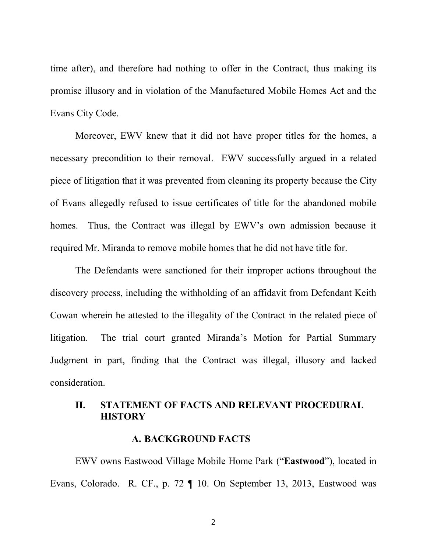time after), and therefore had nothing to offer in the Contract, thus making its promise illusory and in violation of the Manufactured Mobile Homes Act and the Evans City Code.

Moreover, EWV knew that it did not have proper titles for the homes, a necessary precondition to their removal. EWV successfully argued in a related piece of litigation that it was prevented from cleaning its property because the City of Evans allegedly refused to issue certificates of title for the abandoned mobile homes. Thus, the Contract was illegal by EWV's own admission because it required Mr. Miranda to remove mobile homes that he did not have title for.

The Defendants were sanctioned for their improper actions throughout the discovery process, including the withholding of an affidavit from Defendant Keith Cowan wherein he attested to the illegality of the Contract in the related piece of litigation. The trial court granted Miranda's Motion for Partial Summary Judgment in part, finding that the Contract was illegal, illusory and lacked consideration.

# **II. STATEMENT OF FACTS AND RELEVANT PROCEDURAL HISTORY**

#### **A. BACKGROUND FACTS**

EWV owns Eastwood Village Mobile Home Park ("**Eastwood**"), located in Evans, Colorado. R. CF., p. 72 ¶ 10. On September 13, 2013, Eastwood was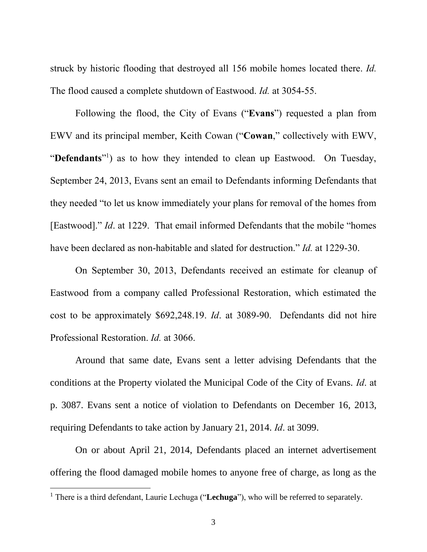struck by historic flooding that destroyed all 156 mobile homes located there. *Id.* The flood caused a complete shutdown of Eastwood. *Id.* at 3054-55.

Following the flood, the City of Evans ("**Evans**") requested a plan from EWV and its principal member, Keith Cowan ("**Cowan**," collectively with EWV, "Defendants"<sup>1</sup>) as to how they intended to clean up Eastwood. On Tuesday, September 24, 2013, Evans sent an email to Defendants informing Defendants that they needed "to let us know immediately your plans for removal of the homes from [Eastwood]." *Id*. at 1229. That email informed Defendants that the mobile "homes have been declared as non-habitable and slated for destruction." *Id.* at 1229-30.

On September 30, 2013, Defendants received an estimate for cleanup of Eastwood from a company called Professional Restoration, which estimated the cost to be approximately \$692,248.19. *Id*. at 3089-90. Defendants did not hire Professional Restoration. *Id.* at 3066.

Around that same date, Evans sent a letter advising Defendants that the conditions at the Property violated the Municipal Code of the City of Evans. *Id*. at p. 3087. Evans sent a notice of violation to Defendants on December 16, 2013, requiring Defendants to take action by January 21, 2014. *Id*. at 3099.

On or about April 21, 2014, Defendants placed an internet advertisement offering the flood damaged mobile homes to anyone free of charge, as long as the

 $\overline{a}$ 

<sup>&</sup>lt;sup>1</sup> There is a third defendant, Laurie Lechuga ("Lechuga"), who will be referred to separately.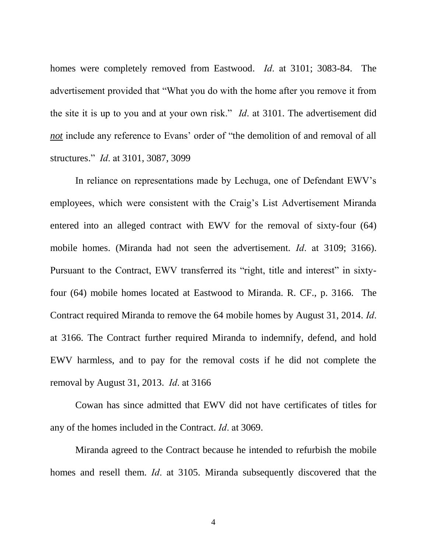homes were completely removed from Eastwood. *Id*. at 3101; 3083-84. The advertisement provided that "What you do with the home after you remove it from the site it is up to you and at your own risk." *Id*. at 3101. The advertisement did *not* include any reference to Evans' order of "the demolition of and removal of all structures." *Id*. at 3101, 3087, 3099

In reliance on representations made by Lechuga, one of Defendant EWV's employees, which were consistent with the Craig's List Advertisement Miranda entered into an alleged contract with EWV for the removal of sixty-four (64) mobile homes. (Miranda had not seen the advertisement. *Id*. at 3109; 3166). Pursuant to the Contract, EWV transferred its "right, title and interest" in sixtyfour (64) mobile homes located at Eastwood to Miranda. R. CF., p. 3166. The Contract required Miranda to remove the 64 mobile homes by August 31, 2014. *Id*. at 3166. The Contract further required Miranda to indemnify, defend, and hold EWV harmless, and to pay for the removal costs if he did not complete the removal by August 31, 2013. *Id*. at 3166

Cowan has since admitted that EWV did not have certificates of titles for any of the homes included in the Contract. *Id*. at 3069.

Miranda agreed to the Contract because he intended to refurbish the mobile homes and resell them. *Id*. at 3105. Miranda subsequently discovered that the

4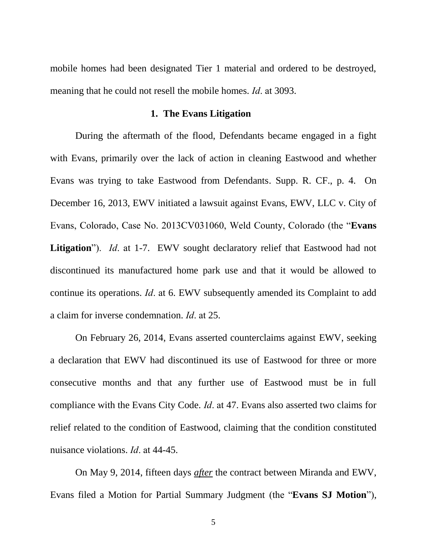mobile homes had been designated Tier 1 material and ordered to be destroyed, meaning that he could not resell the mobile homes. *Id*. at 3093.

#### **1. The Evans Litigation**

During the aftermath of the flood, Defendants became engaged in a fight with Evans, primarily over the lack of action in cleaning Eastwood and whether Evans was trying to take Eastwood from Defendants. Supp. R. CF., p. 4. On December 16, 2013, EWV initiated a lawsuit against Evans, EWV, LLC v. City of Evans, Colorado, Case No. 2013CV031060, Weld County, Colorado (the "**Evans Litigation**"). *Id*. at 1-7. EWV sought declaratory relief that Eastwood had not discontinued its manufactured home park use and that it would be allowed to continue its operations. *Id*. at 6. EWV subsequently amended its Complaint to add a claim for inverse condemnation. *Id*. at 25.

On February 26, 2014, Evans asserted counterclaims against EWV, seeking a declaration that EWV had discontinued its use of Eastwood for three or more consecutive months and that any further use of Eastwood must be in full compliance with the Evans City Code. *Id*. at 47. Evans also asserted two claims for relief related to the condition of Eastwood, claiming that the condition constituted nuisance violations. *Id*. at 44-45.

On May 9, 2014, fifteen days *after* the contract between Miranda and EWV, Evans filed a Motion for Partial Summary Judgment (the "**Evans SJ Motion**"),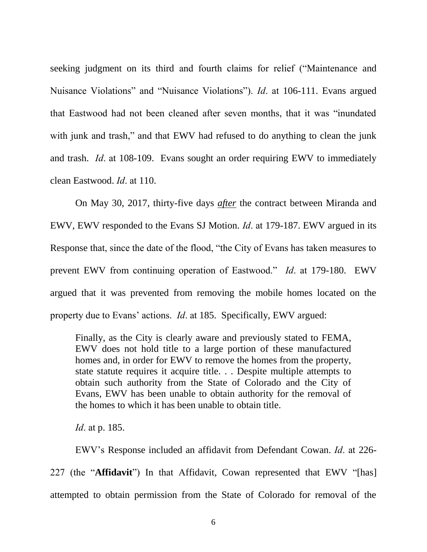seeking judgment on its third and fourth claims for relief ("Maintenance and Nuisance Violations" and "Nuisance Violations"). *Id*. at 106-111. Evans argued that Eastwood had not been cleaned after seven months, that it was "inundated with junk and trash," and that EWV had refused to do anything to clean the junk and trash. *Id*. at 108-109. Evans sought an order requiring EWV to immediately clean Eastwood. *Id*. at 110.

On May 30, 2017, thirty-five days *after* the contract between Miranda and EWV, EWV responded to the Evans SJ Motion. *Id*. at 179-187. EWV argued in its Response that, since the date of the flood, "the City of Evans has taken measures to prevent EWV from continuing operation of Eastwood." *Id*. at 179-180. EWV argued that it was prevented from removing the mobile homes located on the property due to Evans' actions. *Id*. at 185. Specifically, EWV argued:

Finally, as the City is clearly aware and previously stated to FEMA, EWV does not hold title to a large portion of these manufactured homes and, in order for EWV to remove the homes from the property, state statute requires it acquire title. . . Despite multiple attempts to obtain such authority from the State of Colorado and the City of Evans, EWV has been unable to obtain authority for the removal of the homes to which it has been unable to obtain title.

*Id*. at p. 185.

EWV's Response included an affidavit from Defendant Cowan. *Id*. at 226- 227 (the "**Affidavit**") In that Affidavit, Cowan represented that EWV "[has] attempted to obtain permission from the State of Colorado for removal of the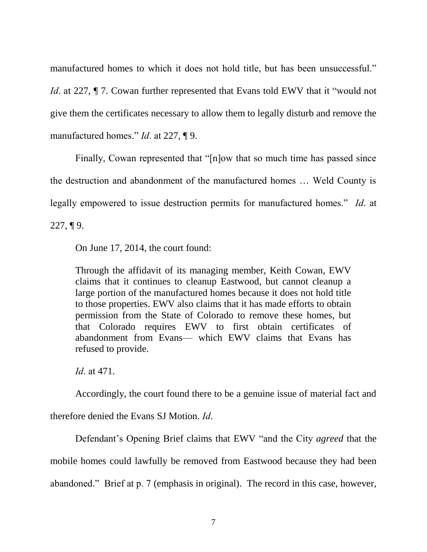manufactured homes to which it does not hold title, but has been unsuccessful."

*Id.* at 227,  $\P$  7. Cowan further represented that Evans told EWV that it "would not give them the certificates necessary to allow them to legally disturb and remove the manufactured homes." *Id*. at 227, ¶ 9.

Finally, Cowan represented that "[n]ow that so much time has passed since the destruction and abandonment of the manufactured homes … Weld County is legally empowered to issue destruction permits for manufactured homes." *Id*. at  $227, \P 9$ .

On June 17, 2014, the court found:

Through the affidavit of its managing member, Keith Cowan, EWV claims that it continues to cleanup Eastwood, but cannot cleanup a large portion of the manufactured homes because it does not hold title to those properties. EWV also claims that it has made efforts to obtain permission from the State of Colorado to remove these homes, but that Colorado requires EWV to first obtain certificates of abandonment from Evans— which EWV claims that Evans has refused to provide.

*Id*. at 471.

Accordingly, the court found there to be a genuine issue of material fact and

therefore denied the Evans SJ Motion. *Id*.

Defendant's Opening Brief claims that EWV "and the City *agreed* that the mobile homes could lawfully be removed from Eastwood because they had been abandoned." Brief at p. 7 (emphasis in original). The record in this case, however,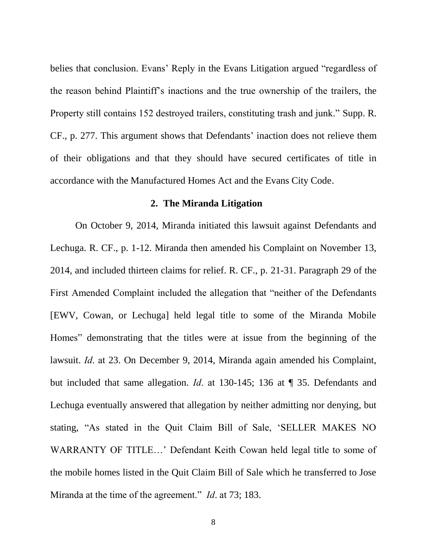belies that conclusion. Evans' Reply in the Evans Litigation argued "regardless of the reason behind Plaintiff's inactions and the true ownership of the trailers, the Property still contains 152 destroyed trailers, constituting trash and junk." Supp. R. CF., p. 277. This argument shows that Defendants' inaction does not relieve them of their obligations and that they should have secured certificates of title in accordance with the Manufactured Homes Act and the Evans City Code.

#### **2. The Miranda Litigation**

On October 9, 2014, Miranda initiated this lawsuit against Defendants and Lechuga. R. CF., p. 1-12. Miranda then amended his Complaint on November 13, 2014, and included thirteen claims for relief. R. CF., p. 21-31. Paragraph 29 of the First Amended Complaint included the allegation that "neither of the Defendants [EWV, Cowan, or Lechuga] held legal title to some of the Miranda Mobile Homes" demonstrating that the titles were at issue from the beginning of the lawsuit. *Id*. at 23. On December 9, 2014, Miranda again amended his Complaint, but included that same allegation. *Id*. at 130-145; 136 at ¶ 35. Defendants and Lechuga eventually answered that allegation by neither admitting nor denying, but stating, "As stated in the Quit Claim Bill of Sale, 'SELLER MAKES NO WARRANTY OF TITLE…' Defendant Keith Cowan held legal title to some of the mobile homes listed in the Quit Claim Bill of Sale which he transferred to Jose Miranda at the time of the agreement." *Id*. at 73; 183.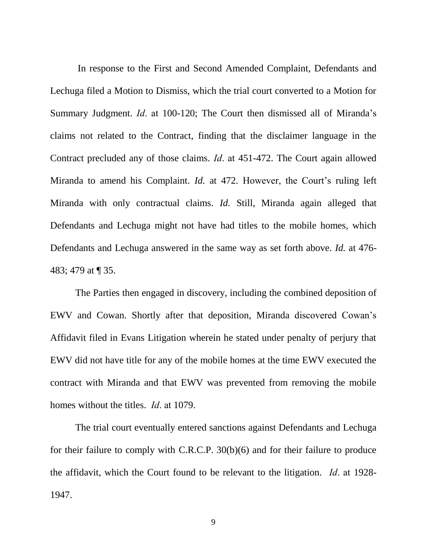In response to the First and Second Amended Complaint, Defendants and Lechuga filed a Motion to Dismiss, which the trial court converted to a Motion for Summary Judgment. *Id*. at 100-120; The Court then dismissed all of Miranda's claims not related to the Contract, finding that the disclaimer language in the Contract precluded any of those claims. *Id*. at 451-472. The Court again allowed Miranda to amend his Complaint. *Id.* at 472. However, the Court's ruling left Miranda with only contractual claims. *Id.* Still, Miranda again alleged that Defendants and Lechuga might not have had titles to the mobile homes, which Defendants and Lechuga answered in the same way as set forth above. *Id.* at 476- 483; 479 at ¶ 35.

The Parties then engaged in discovery, including the combined deposition of EWV and Cowan. Shortly after that deposition, Miranda discovered Cowan's Affidavit filed in Evans Litigation wherein he stated under penalty of perjury that EWV did not have title for any of the mobile homes at the time EWV executed the contract with Miranda and that EWV was prevented from removing the mobile homes without the titles. *Id*. at 1079.

The trial court eventually entered sanctions against Defendants and Lechuga for their failure to comply with C.R.C.P. 30(b)(6) and for their failure to produce the affidavit, which the Court found to be relevant to the litigation. *Id*. at 1928- 1947.

9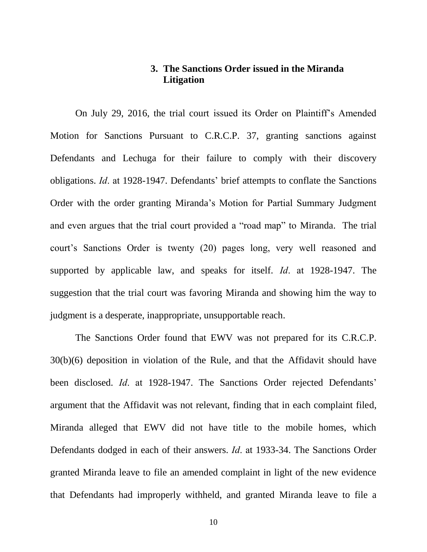## **3. The Sanctions Order issued in the Miranda Litigation**

On July 29, 2016, the trial court issued its Order on Plaintiff's Amended Motion for Sanctions Pursuant to C.R.C.P. 37, granting sanctions against Defendants and Lechuga for their failure to comply with their discovery obligations. *Id*. at 1928-1947. Defendants' brief attempts to conflate the Sanctions Order with the order granting Miranda's Motion for Partial Summary Judgment and even argues that the trial court provided a "road map" to Miranda. The trial court's Sanctions Order is twenty (20) pages long, very well reasoned and supported by applicable law, and speaks for itself. *Id*. at 1928-1947. The suggestion that the trial court was favoring Miranda and showing him the way to judgment is a desperate, inappropriate, unsupportable reach.

The Sanctions Order found that EWV was not prepared for its C.R.C.P. 30(b)(6) deposition in violation of the Rule, and that the Affidavit should have been disclosed. *Id*. at 1928-1947. The Sanctions Order rejected Defendants' argument that the Affidavit was not relevant, finding that in each complaint filed, Miranda alleged that EWV did not have title to the mobile homes, which Defendants dodged in each of their answers. *Id*. at 1933-34. The Sanctions Order granted Miranda leave to file an amended complaint in light of the new evidence that Defendants had improperly withheld, and granted Miranda leave to file a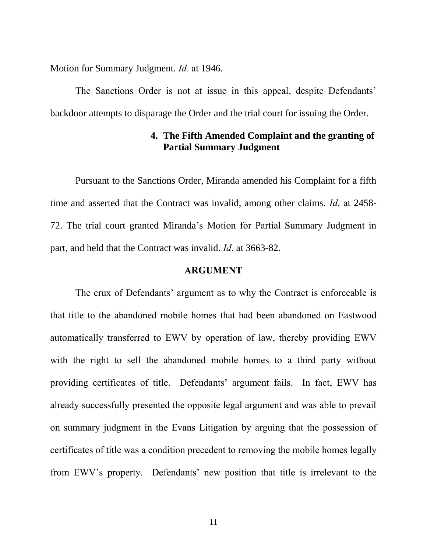Motion for Summary Judgment. *Id*. at 1946.

The Sanctions Order is not at issue in this appeal, despite Defendants' backdoor attempts to disparage the Order and the trial court for issuing the Order.

# **4. The Fifth Amended Complaint and the granting of Partial Summary Judgment**

Pursuant to the Sanctions Order, Miranda amended his Complaint for a fifth time and asserted that the Contract was invalid, among other claims. *Id*. at 2458- 72. The trial court granted Miranda's Motion for Partial Summary Judgment in part, and held that the Contract was invalid. *Id*. at 3663-82.

#### **ARGUMENT**

The crux of Defendants' argument as to why the Contract is enforceable is that title to the abandoned mobile homes that had been abandoned on Eastwood automatically transferred to EWV by operation of law, thereby providing EWV with the right to sell the abandoned mobile homes to a third party without providing certificates of title. Defendants' argument fails. In fact, EWV has already successfully presented the opposite legal argument and was able to prevail on summary judgment in the Evans Litigation by arguing that the possession of certificates of title was a condition precedent to removing the mobile homes legally from EWV's property. Defendants' new position that title is irrelevant to the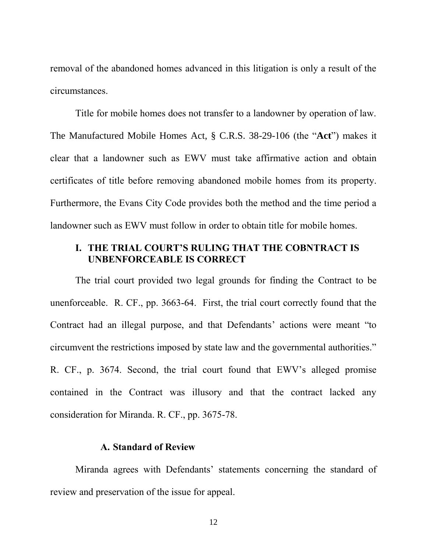removal of the abandoned homes advanced in this litigation is only a result of the circumstances.

Title for mobile homes does not transfer to a landowner by operation of law. The Manufactured Mobile Homes Act, § C.R.S. 38-29-106 (the "**Act**") makes it clear that a landowner such as EWV must take affirmative action and obtain certificates of title before removing abandoned mobile homes from its property. Furthermore, the Evans City Code provides both the method and the time period a landowner such as EWV must follow in order to obtain title for mobile homes.

## **I. THE TRIAL COURT'S RULING THAT THE COBNTRACT IS UNBENFORCEABLE IS CORRECT**

The trial court provided two legal grounds for finding the Contract to be unenforceable. R. CF., pp. 3663-64. First, the trial court correctly found that the Contract had an illegal purpose, and that Defendants' actions were meant "to circumvent the restrictions imposed by state law and the governmental authorities." R. CF., p. 3674. Second, the trial court found that EWV's alleged promise contained in the Contract was illusory and that the contract lacked any consideration for Miranda. R. CF., pp. 3675-78.

## **A. Standard of Review**

Miranda agrees with Defendants' statements concerning the standard of review and preservation of the issue for appeal.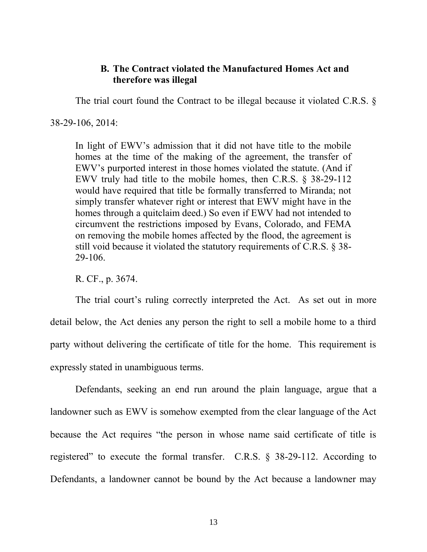### **B. The Contract violated the Manufactured Homes Act and therefore was illegal**

The trial court found the Contract to be illegal because it violated C.R.S. §

38-29-106, 2014:

In light of EWV's admission that it did not have title to the mobile homes at the time of the making of the agreement, the transfer of EWV's purported interest in those homes violated the statute. (And if EWV truly had title to the mobile homes, then C.R.S. § 38-29-112 would have required that title be formally transferred to Miranda; not simply transfer whatever right or interest that EWV might have in the homes through a quitclaim deed.) So even if EWV had not intended to circumvent the restrictions imposed by Evans, Colorado, and FEMA on removing the mobile homes affected by the flood, the agreement is still void because it violated the statutory requirements of C.R.S. § 38- 29-106.

R. CF., p. 3674.

The trial court's ruling correctly interpreted the Act. As set out in more detail below, the Act denies any person the right to sell a mobile home to a third party without delivering the certificate of title for the home. This requirement is expressly stated in unambiguous terms.

Defendants, seeking an end run around the plain language, argue that a landowner such as EWV is somehow exempted from the clear language of the Act because the Act requires "the person in whose name said certificate of title is registered" to execute the formal transfer. C.R.S. § 38-29-112. According to Defendants, a landowner cannot be bound by the Act because a landowner may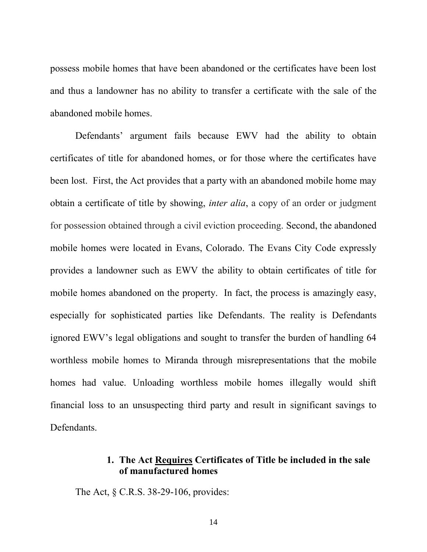possess mobile homes that have been abandoned or the certificates have been lost and thus a landowner has no ability to transfer a certificate with the sale of the abandoned mobile homes.

Defendants' argument fails because EWV had the ability to obtain certificates of title for abandoned homes, or for those where the certificates have been lost. First, the Act provides that a party with an abandoned mobile home may obtain a certificate of title by showing, *inter alia*, a copy of an order or judgment for possession obtained through a civil eviction proceeding. Second, the abandoned mobile homes were located in Evans, Colorado. The Evans City Code expressly provides a landowner such as EWV the ability to obtain certificates of title for mobile homes abandoned on the property. In fact, the process is amazingly easy, especially for sophisticated parties like Defendants. The reality is Defendants ignored EWV's legal obligations and sought to transfer the burden of handling 64 worthless mobile homes to Miranda through misrepresentations that the mobile homes had value. Unloading worthless mobile homes illegally would shift financial loss to an unsuspecting third party and result in significant savings to Defendants.

# **1. The Act Requires Certificates of Title be included in the sale of manufactured homes**

The Act, § C.R.S. 38-29-106, provides: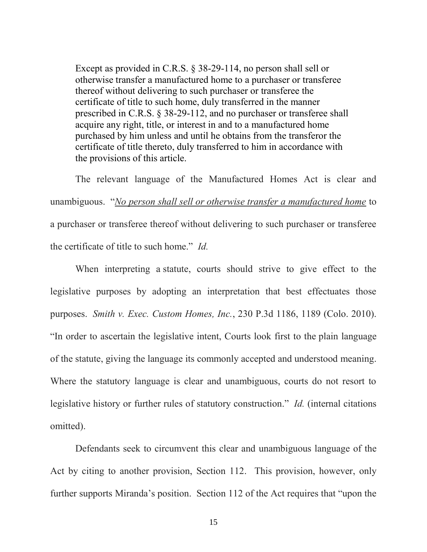Except as provided in C.R.S. § 38-29-114, no person shall sell or otherwise transfer a manufactured home to a purchaser or transferee thereof without delivering to such purchaser or transferee the certificate of title to such home, duly transferred in the manner prescribed in C.R.S. § 38-29-112, and no purchaser or transferee shall acquire any right, title, or interest in and to a manufactured home purchased by him unless and until he obtains from the transferor the certificate of title thereto, duly transferred to him in accordance with the provisions of this article.

The relevant language of the Manufactured Homes Act is clear and unambiguous. "*No person shall sell or otherwise transfer a manufactured home* to a purchaser or transferee thereof without delivering to such purchaser or transferee the certificate of title to such home." *Id.*

When interpreting a statute, courts should strive to give effect to the legislative purposes by adopting an interpretation that best effectuates those purposes. *Smith v. Exec. Custom Homes, Inc.*, 230 P.3d 1186, 1189 (Colo. 2010). "In order to ascertain the legislative intent, Courts look first to the plain language of the statute, giving the language its commonly accepted and understood meaning. Where the statutory language is clear and unambiguous, courts do not resort to legislative history or further rules of statutory construction." *Id.* (internal citations omitted).

Defendants seek to circumvent this clear and unambiguous language of the Act by citing to another provision, Section 112. This provision, however, only further supports Miranda's position. Section 112 of the Act requires that "upon the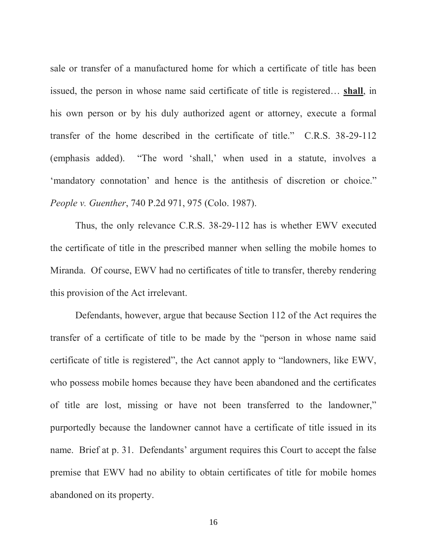sale or transfer of a manufactured home for which a certificate of title has been issued, the person in whose name said certificate of title is registered… **shall**, in his own person or by his duly authorized agent or attorney, execute a formal transfer of the home described in the certificate of title." C.R.S. 38-29-112 (emphasis added). "The word 'shall,' when used in a statute, involves a 'mandatory connotation' and hence is the antithesis of discretion or choice." *People v. Guenther*, 740 P.2d 971, 975 (Colo. 1987).

Thus, the only relevance C.R.S. 38-29-112 has is whether EWV executed the certificate of title in the prescribed manner when selling the mobile homes to Miranda. Of course, EWV had no certificates of title to transfer, thereby rendering this provision of the Act irrelevant.

Defendants, however, argue that because Section 112 of the Act requires the transfer of a certificate of title to be made by the "person in whose name said certificate of title is registered", the Act cannot apply to "landowners, like EWV, who possess mobile homes because they have been abandoned and the certificates of title are lost, missing or have not been transferred to the landowner," purportedly because the landowner cannot have a certificate of title issued in its name. Brief at p. 31. Defendants' argument requires this Court to accept the false premise that EWV had no ability to obtain certificates of title for mobile homes abandoned on its property.

16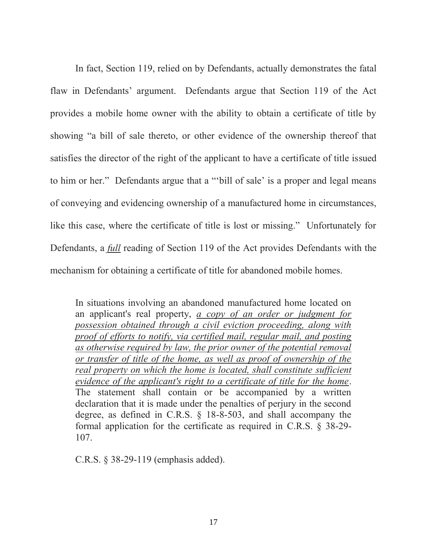In fact, Section 119, relied on by Defendants, actually demonstrates the fatal flaw in Defendants' argument. Defendants argue that Section 119 of the Act provides a mobile home owner with the ability to obtain a certificate of title by showing "a bill of sale thereto, or other evidence of the ownership thereof that satisfies the director of the right of the applicant to have a certificate of title issued to him or her." Defendants argue that a "'bill of sale' is a proper and legal means of conveying and evidencing ownership of a manufactured home in circumstances, like this case, where the certificate of title is lost or missing." Unfortunately for Defendants, a *full* reading of Section 119 of the Act provides Defendants with the mechanism for obtaining a certificate of title for abandoned mobile homes.

In situations involving an abandoned manufactured home located on an applicant's real property, *a copy of an order or judgment for possession obtained through a civil eviction proceeding, along with proof of efforts to notify, via certified mail, regular mail, and posting as otherwise required by law, the prior owner of the potential removal or transfer of title of the home, as well as proof of ownership of the real property on which the home is located, shall constitute sufficient evidence of the applicant's right to a certificate of title for the home*. The statement shall contain or be accompanied by a written declaration that it is made under the penalties of perjury in the second degree, as defined in C.R.S. § 18-8-503, and shall accompany the formal application for the certificate as required in C.R.S. § 38-29- 107.

C.R.S. § 38-29-119 (emphasis added).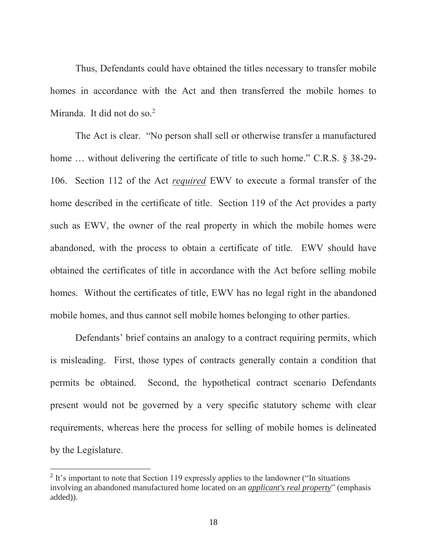Thus, Defendants could have obtained the titles necessary to transfer mobile homes in accordance with the Act and then transferred the mobile homes to Miranda. It did not do so. $<sup>2</sup>$ </sup>

The Act is clear. "No person shall sell or otherwise transfer a manufactured home ... without delivering the certificate of title to such home." C.R.S. § 38-29-106. Section 112 of the Act *required* EWV to execute a formal transfer of the home described in the certificate of title. Section 119 of the Act provides a party such as EWV, the owner of the real property in which the mobile homes were abandoned, with the process to obtain a certificate of title. EWV should have obtained the certificates of title in accordance with the Act before selling mobile homes. Without the certificates of title, EWV has no legal right in the abandoned mobile homes, and thus cannot sell mobile homes belonging to other parties.

Defendants' brief contains an analogy to a contract requiring permits, which is misleading. First, those types of contracts generally contain a condition that permits be obtained. Second, the hypothetical contract scenario Defendants present would not be governed by a very specific statutory scheme with clear requirements, whereas here the process for selling of mobile homes is delineated by the Legislature.

 $\overline{a}$ 

<sup>&</sup>lt;sup>2</sup> It's important to note that Section 119 expressly applies to the landowner ("In situations" involving an abandoned manufactured home located on an *applicant's real property*" (emphasis added)).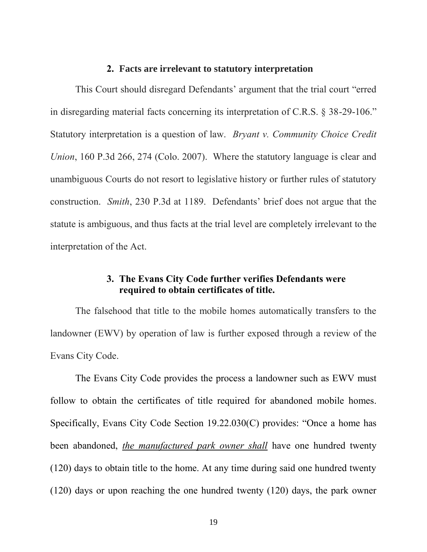#### **2. Facts are irrelevant to statutory interpretation**

This Court should disregard Defendants' argument that the trial court "erred in disregarding material facts concerning its interpretation of C.R.S. § 38-29-106." Statutory interpretation is a question of law. *Bryant v. Community Choice Credit Union*, 160 P.3d 266, 274 (Colo. 2007). Where the statutory language is clear and unambiguous Courts do not resort to legislative history or further rules of statutory construction. *Smith*, 230 P.3d at 1189. Defendants' brief does not argue that the statute is ambiguous, and thus facts at the trial level are completely irrelevant to the interpretation of the Act.

# **3. The Evans City Code further verifies Defendants were required to obtain certificates of title.**

The falsehood that title to the mobile homes automatically transfers to the landowner (EWV) by operation of law is further exposed through a review of the Evans City Code.

The Evans City Code provides the process a landowner such as EWV must follow to obtain the certificates of title required for abandoned mobile homes. Specifically, Evans City Code Section 19.22.030(C) provides: "Once a home has been abandoned, *the manufactured park owner shall* have one hundred twenty (120) days to obtain title to the home. At any time during said one hundred twenty (120) days or upon reaching the one hundred twenty (120) days, the park owner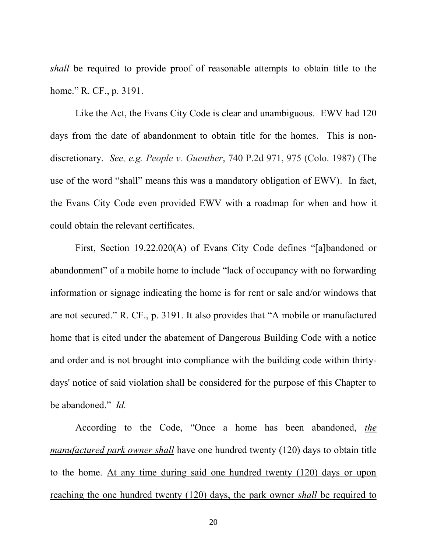*shall* be required to provide proof of reasonable attempts to obtain title to the home." R. CF., p. 3191.

Like the Act, the Evans City Code is clear and unambiguous. EWV had 120 days from the date of abandonment to obtain title for the homes. This is nondiscretionary. *See, e.g. People v. Guenther*, 740 P.2d 971, 975 (Colo. 1987) (The use of the word "shall" means this was a mandatory obligation of EWV). In fact, the Evans City Code even provided EWV with a roadmap for when and how it could obtain the relevant certificates.

First, Section 19.22.020(A) of Evans City Code defines "[a]bandoned or abandonment" of a mobile home to include "lack of occupancy with no forwarding information or signage indicating the home is for rent or sale and/or windows that are not secured." R. CF., p. 3191. It also provides that "A mobile or manufactured home that is cited under the abatement of Dangerous Building Code with a notice and order and is not brought into compliance with the building code within thirtydays' notice of said violation shall be considered for the purpose of this Chapter to be abandoned." *Id.*

According to the Code, "Once a home has been abandoned, *the manufactured park owner shall* have one hundred twenty (120) days to obtain title to the home. At any time during said one hundred twenty (120) days or upon reaching the one hundred twenty (120) days, the park owner *shall* be required to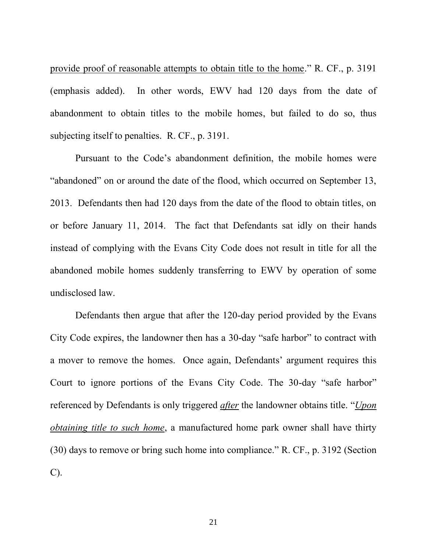provide proof of reasonable attempts to obtain title to the home." R. CF., p. 3191 (emphasis added). In other words, EWV had 120 days from the date of abandonment to obtain titles to the mobile homes, but failed to do so, thus subjecting itself to penalties. R. CF., p. 3191.

Pursuant to the Code's abandonment definition, the mobile homes were "abandoned" on or around the date of the flood, which occurred on September 13, 2013. Defendants then had 120 days from the date of the flood to obtain titles, on or before January 11, 2014. The fact that Defendants sat idly on their hands instead of complying with the Evans City Code does not result in title for all the abandoned mobile homes suddenly transferring to EWV by operation of some undisclosed law.

Defendants then argue that after the 120-day period provided by the Evans City Code expires, the landowner then has a 30-day "safe harbor" to contract with a mover to remove the homes. Once again, Defendants' argument requires this Court to ignore portions of the Evans City Code. The 30-day "safe harbor" referenced by Defendants is only triggered *after* the landowner obtains title. "*Upon obtaining title to such home*, a manufactured home park owner shall have thirty (30) days to remove or bring such home into compliance." R. CF., p. 3192 (Section C).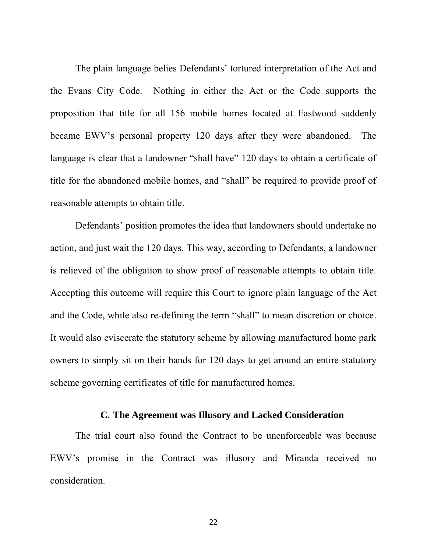The plain language belies Defendants' tortured interpretation of the Act and the Evans City Code. Nothing in either the Act or the Code supports the proposition that title for all 156 mobile homes located at Eastwood suddenly became EWV's personal property 120 days after they were abandoned. The language is clear that a landowner "shall have" 120 days to obtain a certificate of title for the abandoned mobile homes, and "shall" be required to provide proof of reasonable attempts to obtain title.

Defendants' position promotes the idea that landowners should undertake no action, and just wait the 120 days. This way, according to Defendants, a landowner is relieved of the obligation to show proof of reasonable attempts to obtain title. Accepting this outcome will require this Court to ignore plain language of the Act and the Code, while also re-defining the term "shall" to mean discretion or choice. It would also eviscerate the statutory scheme by allowing manufactured home park owners to simply sit on their hands for 120 days to get around an entire statutory scheme governing certificates of title for manufactured homes.

## **C. The Agreement was Illusory and Lacked Consideration**

The trial court also found the Contract to be unenforceable was because EWV's promise in the Contract was illusory and Miranda received no consideration.

22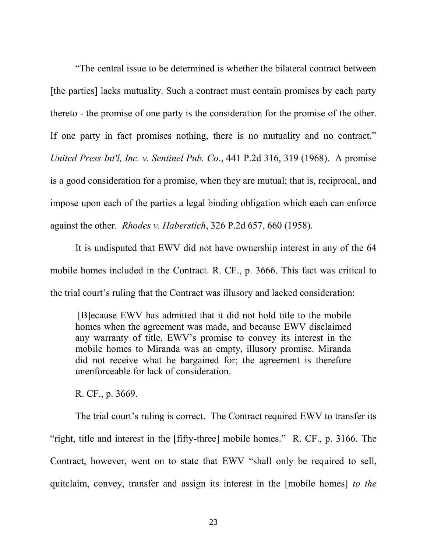"The central issue to be determined is whether the bilateral contract between [the parties] lacks mutuality. Such a contract must contain promises by each party thereto - the promise of one party is the consideration for the promise of the other. If one party in fact promises nothing, there is no mutuality and no contract." *United Press Int'l, Inc. v. Sentinel Pub. Co*., 441 P.2d 316, 319 (1968). A promise is a good consideration for a promise, when they are mutual; that is, reciprocal, and impose upon each of the parties a legal binding obligation which each can enforce against the other. *Rhodes v. Haberstich*, 326 P.2d 657, 660 (1958).

It is undisputed that EWV did not have ownership interest in any of the 64 mobile homes included in the Contract. R. CF., p. 3666. This fact was critical to the trial court's ruling that the Contract was illusory and lacked consideration:

[B]ecause EWV has admitted that it did not hold title to the mobile homes when the agreement was made, and because EWV disclaimed any warranty of title, EWV's promise to convey its interest in the mobile homes to Miranda was an empty, illusory promise. Miranda did not receive what he bargained for; the agreement is therefore unenforceable for lack of consideration.

R. CF., p. 3669.

The trial court's ruling is correct. The Contract required EWV to transfer its "right, title and interest in the [fifty-three] mobile homes." R. CF., p. 3166. The Contract, however, went on to state that EWV "shall only be required to sell, quitclaim, convey, transfer and assign its interest in the [mobile homes] *to the*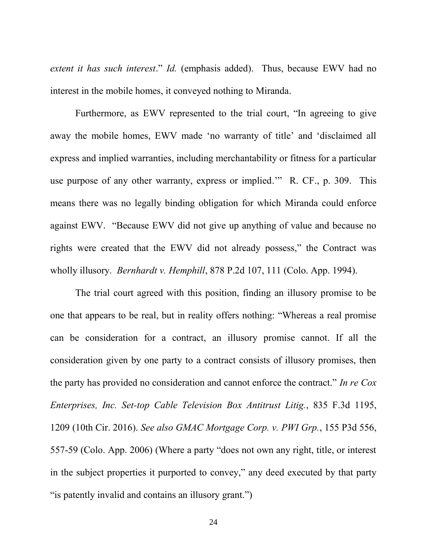*extent it has such interest*." *Id.* (emphasis added). Thus, because EWV had no interest in the mobile homes, it conveyed nothing to Miranda.

Furthermore, as EWV represented to the trial court, "In agreeing to give away the mobile homes, EWV made 'no warranty of title' and 'disclaimed all express and implied warranties, including merchantability or fitness for a particular use purpose of any other warranty, express or implied.'" R. CF., p. 309. This means there was no legally binding obligation for which Miranda could enforce against EWV. "Because EWV did not give up anything of value and because no rights were created that the EWV did not already possess," the Contract was wholly illusory. *Bernhardt v. Hemphill*, 878 P.2d 107, 111 (Colo. App. 1994).

The trial court agreed with this position, finding an illusory promise to be one that appears to be real, but in reality offers nothing: "Whereas a real promise can be consideration for a contract, an illusory promise cannot. If all the consideration given by one party to a contract consists of illusory promises, then the party has provided no consideration and cannot enforce the contract." *In re Cox Enterprises, Inc. Set-top Cable Television Box Antitrust Litig.*, 835 F.3d 1195, 1209 (10th Cir. 2016). *See also GMAC Mortgage Corp. v. PWI Grp.*, 155 P3d 556, 557-59 (Colo. App. 2006) (Where a party "does not own any right, title, or interest in the subject properties it purported to convey," any deed executed by that party " is patently invalid and contains an illusory grant."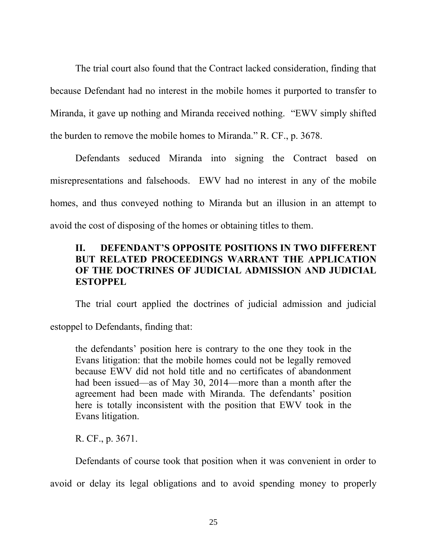The trial court also found that the Contract lacked consideration, finding that because Defendant had no interest in the mobile homes it purported to transfer to Miranda, it gave up nothing and Miranda received nothing. "EWV simply shifted the burden to remove the mobile homes to Miranda." R. CF., p. 3678.

Defendants seduced Miranda into signing the Contract based on misrepresentations and falsehoods. EWV had no interest in any of the mobile homes, and thus conveyed nothing to Miranda but an illusion in an attempt to avoid the cost of disposing of the homes or obtaining titles to them.

# **II. DEFENDANT'S OPPOSITE POSITIONS IN TWO DIFFERENT BUT RELATED PROCEEDINGS WARRANT THE APPLICATION OF THE DOCTRINES OF JUDICIAL ADMISSION AND JUDICIAL ESTOPPEL**

The trial court applied the doctrines of judicial admission and judicial

estoppel to Defendants, finding that:

the defendants' position here is contrary to the one they took in the Evans litigation: that the mobile homes could not be legally removed because EWV did not hold title and no certificates of abandonment had been issued—as of May 30, 2014—more than a month after the agreement had been made with Miranda. The defendants' position here is totally inconsistent with the position that EWV took in the Evans litigation.

R. CF., p. 3671.

Defendants of course took that position when it was convenient in order to

avoid or delay its legal obligations and to avoid spending money to properly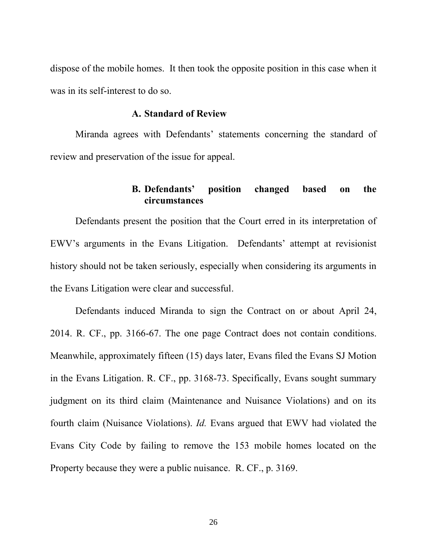dispose of the mobile homes. It then took the opposite position in this case when it was in its self-interest to do so.

#### **A. Standard of Review**

Miranda agrees with Defendants' statements concerning the standard of review and preservation of the issue for appeal.

### **B. Defendants' position changed based on the circumstances**

Defendants present the position that the Court erred in its interpretation of EWV's arguments in the Evans Litigation. Defendants' attempt at revisionist history should not be taken seriously, especially when considering its arguments in the Evans Litigation were clear and successful.

Defendants induced Miranda to sign the Contract on or about April 24, 2014. R. CF., pp. 3166-67. The one page Contract does not contain conditions. Meanwhile, approximately fifteen (15) days later, Evans filed the Evans SJ Motion in the Evans Litigation. R. CF., pp. 3168-73. Specifically, Evans sought summary judgment on its third claim (Maintenance and Nuisance Violations) and on its fourth claim (Nuisance Violations). *Id.* Evans argued that EWV had violated the Evans City Code by failing to remove the 153 mobile homes located on the Property because they were a public nuisance. R. CF., p. 3169.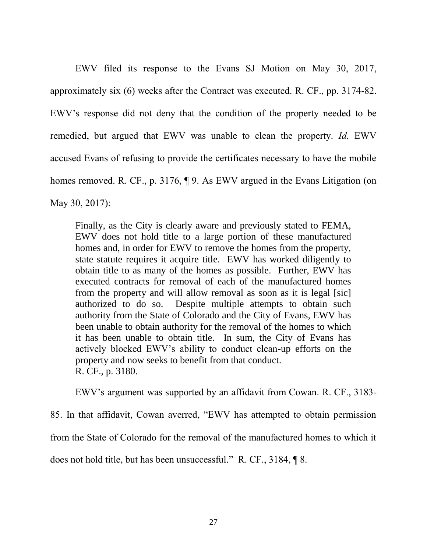EWV filed its response to the Evans SJ Motion on May 30, 2017, approximately six (6) weeks after the Contract was executed. R. CF., pp. 3174-82. EWV's response did not deny that the condition of the property needed to be remedied, but argued that EWV was unable to clean the property. *Id.* EWV accused Evans of refusing to provide the certificates necessary to have the mobile homes removed. R. CF., p. 3176,  $\P$  9. As EWV argued in the Evans Litigation (on May 30, 2017):

Finally, as the City is clearly aware and previously stated to FEMA, EWV does not hold title to a large portion of these manufactured homes and, in order for EWV to remove the homes from the property, state statute requires it acquire title. EWV has worked diligently to obtain title to as many of the homes as possible. Further, EWV has executed contracts for removal of each of the manufactured homes from the property and will allow removal as soon as it is legal [sic] authorized to do so. Despite multiple attempts to obtain such authority from the State of Colorado and the City of Evans, EWV has been unable to obtain authority for the removal of the homes to which it has been unable to obtain title. In sum, the City of Evans has actively blocked EWV's ability to conduct clean-up efforts on the property and now seeks to benefit from that conduct. R. CF., p. 3180.

EWV's argument was supported by an affidavit from Cowan. R. CF., 3183-

85. In that affidavit, Cowan averred, "EWV has attempted to obtain permission from the State of Colorado for the removal of the manufactured homes to which it does not hold title, but has been unsuccessful." R. CF., 3184, ¶ 8.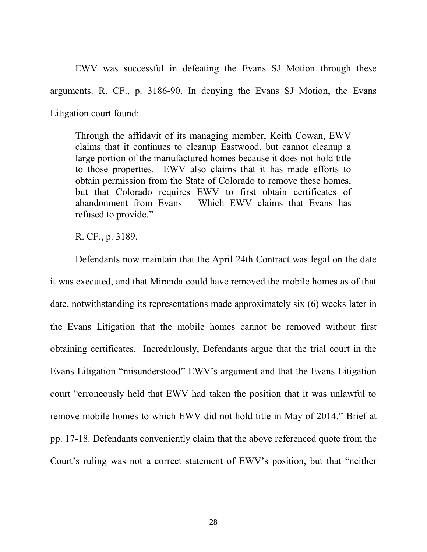EWV was successful in defeating the Evans SJ Motion through these arguments. R. CF., p. 3186-90. In denying the Evans SJ Motion, the Evans Litigation court found:

Through the affidavit of its managing member, Keith Cowan, EWV claims that it continues to cleanup Eastwood, but cannot cleanup a large portion of the manufactured homes because it does not hold title to those properties. EWV also claims that it has made efforts to obtain permission from the State of Colorado to remove these homes, but that Colorado requires EWV to first obtain certificates of abandonment from Evans – Which EWV claims that Evans has refused to provide."

R. CF., p. 3189.

Defendants now maintain that the April 24th Contract was legal on the date it was executed, and that Miranda could have removed the mobile homes as of that date, notwithstanding its representations made approximately six (6) weeks later in the Evans Litigation that the mobile homes cannot be removed without first obtaining certificates. Incredulously, Defendants argue that the trial court in the Evans Litigation "misunderstood" EWV's argument and that the Evans Litigation court "erroneously held that EWV had taken the position that it was unlawful to remove mobile homes to which EWV did not hold title in May of 2014." Brief at pp. 17-18. Defendants conveniently claim that the above referenced quote from the Court's ruling was not a correct statement of EWV's position, but that "neither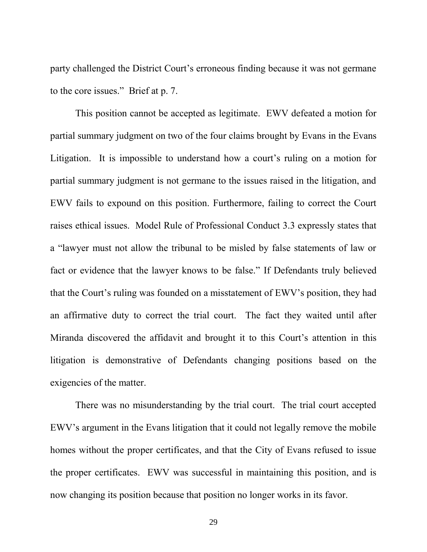party challenged the District Court's erroneous finding because it was not germane to the core issues." Brief at p. 7.

This position cannot be accepted as legitimate. EWV defeated a motion for partial summary judgment on two of the four claims brought by Evans in the Evans Litigation. It is impossible to understand how a court's ruling on a motion for partial summary judgment is not germane to the issues raised in the litigation, and EWV fails to expound on this position. Furthermore, failing to correct the Court raises ethical issues. Model Rule of Professional Conduct 3.3 expressly states that a "lawyer must not allow the tribunal to be misled by false statements of law or fact or evidence that the lawyer knows to be false." If Defendants truly believed that the Court's ruling was founded on a misstatement of EWV's position, they had an affirmative duty to correct the trial court. The fact they waited until after Miranda discovered the affidavit and brought it to this Court's attention in this litigation is demonstrative of Defendants changing positions based on the exigencies of the matter.

There was no misunderstanding by the trial court. The trial court accepted EWV's argument in the Evans litigation that it could not legally remove the mobile homes without the proper certificates, and that the City of Evans refused to issue the proper certificates. EWV was successful in maintaining this position, and is now changing its position because that position no longer works in its favor.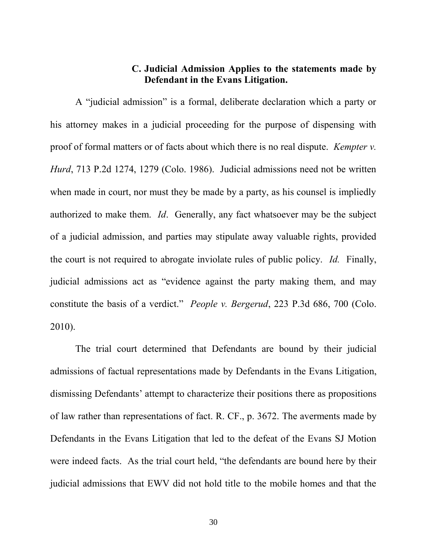# **C. Judicial Admission Applies to the statements made by Defendant in the Evans Litigation.**

A "judicial admission" is a formal, deliberate declaration which a party or his attorney makes in a judicial proceeding for the purpose of dispensing with proof of formal matters or of facts about which there is no real dispute. *Kempter v. Hurd*, 713 P.2d 1274, 1279 (Colo. 1986). Judicial admissions need not be written when made in court, nor must they be made by a party, as his counsel is impliedly authorized to make them. *Id*. Generally, any fact whatsoever may be the subject of a judicial admission, and parties may stipulate away valuable rights, provided the court is not required to abrogate inviolate rules of public policy. *Id.* Finally, judicial admissions act as "evidence against the party making them, and may constitute the basis of a verdict." *People v. Bergerud*, 223 P.3d 686, 700 (Colo. 2010).

The trial court determined that Defendants are bound by their judicial admissions of factual representations made by Defendants in the Evans Litigation, dismissing Defendants' attempt to characterize their positions there as propositions of law rather than representations of fact. R. CF., p. 3672. The averments made by Defendants in the Evans Litigation that led to the defeat of the Evans SJ Motion were indeed facts. As the trial court held, "the defendants are bound here by their judicial admissions that EWV did not hold title to the mobile homes and that the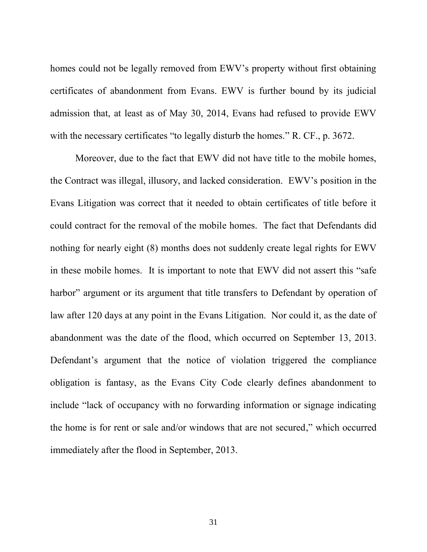homes could not be legally removed from EWV's property without first obtaining certificates of abandonment from Evans. EWV is further bound by its judicial admission that, at least as of May 30, 2014, Evans had refused to provide EWV with the necessary certificates "to legally disturb the homes." R. CF., p. 3672.

Moreover, due to the fact that EWV did not have title to the mobile homes, the Contract was illegal, illusory, and lacked consideration. EWV's position in the Evans Litigation was correct that it needed to obtain certificates of title before it could contract for the removal of the mobile homes. The fact that Defendants did nothing for nearly eight (8) months does not suddenly create legal rights for EWV in these mobile homes. It is important to note that EWV did not assert this "safe harbor" argument or its argument that title transfers to Defendant by operation of law after 120 days at any point in the Evans Litigation. Nor could it, as the date of abandonment was the date of the flood, which occurred on September 13, 2013. Defendant's argument that the notice of violation triggered the compliance obligation is fantasy, as the Evans City Code clearly defines abandonment to include "lack of occupancy with no forwarding information or signage indicating the home is for rent or sale and/or windows that are not secured," which occurred immediately after the flood in September, 2013.

31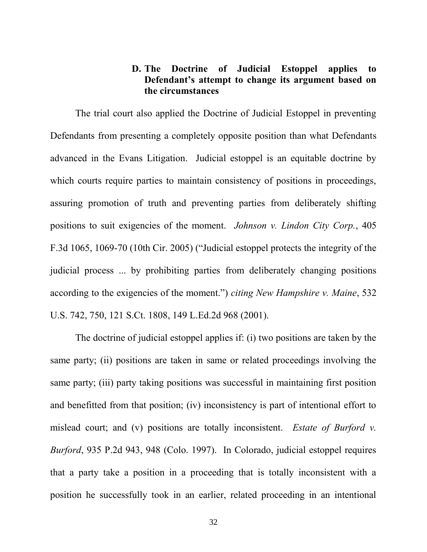# **D. The Doctrine of Judicial Estoppel applies to Defendant's attempt to change its argument based on the circumstances**

The trial court also applied the Doctrine of Judicial Estoppel in preventing Defendants from presenting a completely opposite position than what Defendants advanced in the Evans Litigation. Judicial estoppel is an equitable doctrine by which courts require parties to maintain consistency of positions in proceedings, assuring promotion of truth and preventing parties from deliberately shifting positions to suit exigencies of the moment. *Johnson v. Lindon City Corp.*, 405 F.3d 1065, 1069-70 (10th Cir. 2005) ("Judicial estoppel protects the integrity of the judicial process ... by prohibiting parties from deliberately changing positions according to the exigencies of the moment.") *citing New Hampshire v. Maine*, 532 U.S. 742, 750, 121 S.Ct. 1808, 149 L.Ed.2d 968 (2001).

The doctrine of judicial estoppel applies if: (i) two positions are taken by the same party; (ii) positions are taken in same or related proceedings involving the same party; (iii) party taking positions was successful in maintaining first position and benefitted from that position; (iv) inconsistency is part of intentional effort to mislead court; and (v) positions are totally inconsistent. *Estate of Burford v. Burford*, 935 P.2d 943, 948 (Colo. 1997). In Colorado, judicial estoppel requires that a party take a position in a proceeding that is totally inconsistent with a position he successfully took in an earlier, related proceeding in an intentional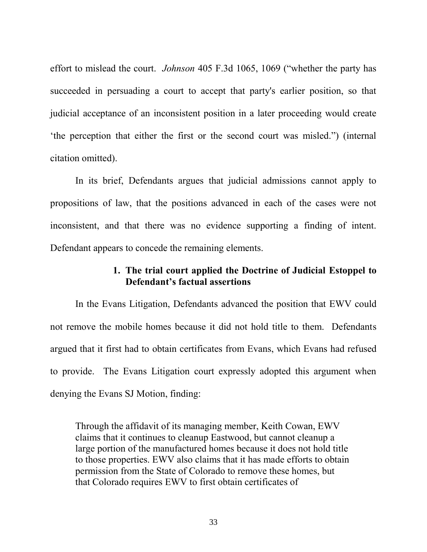effort to mislead the court. *Johnson* 405 F.3d 1065, 1069 ("whether the party has succeeded in persuading a court to accept that party's earlier position, so that judicial acceptance of an inconsistent position in a later proceeding would create 'the perception that either the first or the second court was misled.") (internal citation omitted).

In its brief, Defendants argues that judicial admissions cannot apply to propositions of law, that the positions advanced in each of the cases were not inconsistent, and that there was no evidence supporting a finding of intent. Defendant appears to concede the remaining elements.

# **1. The trial court applied the Doctrine of Judicial Estoppel to Defendant's factual assertions**

In the Evans Litigation, Defendants advanced the position that EWV could not remove the mobile homes because it did not hold title to them. Defendants argued that it first had to obtain certificates from Evans, which Evans had refused to provide. The Evans Litigation court expressly adopted this argument when denying the Evans SJ Motion, finding:

Through the affidavit of its managing member, Keith Cowan, EWV claims that it continues to cleanup Eastwood, but cannot cleanup a large portion of the manufactured homes because it does not hold title to those properties. EWV also claims that it has made efforts to obtain permission from the State of Colorado to remove these homes, but that Colorado requires EWV to first obtain certificates of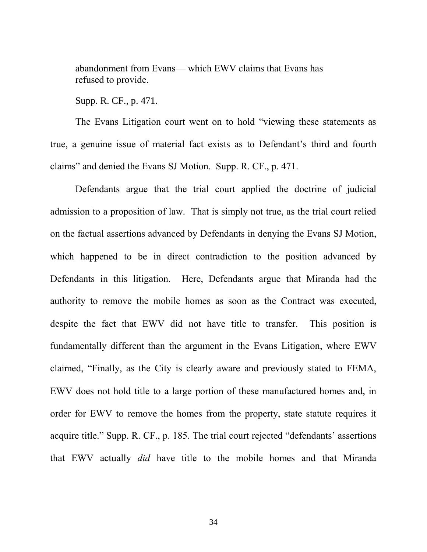abandonment from Evans— which EWV claims that Evans has refused to provide.

Supp. R. CF., p. 471.

The Evans Litigation court went on to hold "viewing these statements as true, a genuine issue of material fact exists as to Defendant's third and fourth claims" and denied the Evans SJ Motion. Supp. R. CF., p. 471.

Defendants argue that the trial court applied the doctrine of judicial admission to a proposition of law. That is simply not true, as the trial court relied on the factual assertions advanced by Defendants in denying the Evans SJ Motion, which happened to be in direct contradiction to the position advanced by Defendants in this litigation. Here, Defendants argue that Miranda had the authority to remove the mobile homes as soon as the Contract was executed, despite the fact that EWV did not have title to transfer. This position is fundamentally different than the argument in the Evans Litigation, where EWV claimed, "Finally, as the City is clearly aware and previously stated to FEMA, EWV does not hold title to a large portion of these manufactured homes and, in order for EWV to remove the homes from the property, state statute requires it acquire title." Supp. R. CF., p. 185. The trial court rejected "defendants' assertions that EWV actually *did* have title to the mobile homes and that Miranda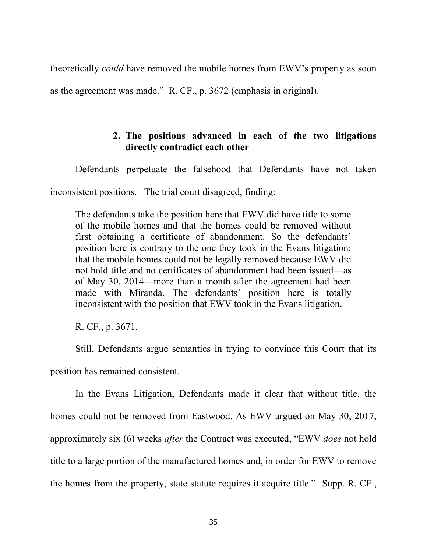theoretically *could* have removed the mobile homes from EWV's property as soon as the agreement was made." R. CF., p. 3672 (emphasis in original).

# **2. The positions advanced in each of the two litigations directly contradict each other**

Defendants perpetuate the falsehood that Defendants have not taken inconsistent positions. The trial court disagreed, finding:

The defendants take the position here that EWV did have title to some of the mobile homes and that the homes could be removed without first obtaining a certificate of abandonment. So the defendants' position here is contrary to the one they took in the Evans litigation: that the mobile homes could not be legally removed because EWV did not hold title and no certificates of abandonment had been issued—as of May 30, 2014—more than a month after the agreement had been made with Miranda. The defendants' position here is totally inconsistent with the position that EWV took in the Evans litigation.

R. CF., p. 3671.

Still, Defendants argue semantics in trying to convince this Court that its position has remained consistent.

In the Evans Litigation, Defendants made it clear that without title, the homes could not be removed from Eastwood. As EWV argued on May 30, 2017, approximately six (6) weeks *after* the Contract was executed, "EWV *does* not hold title to a large portion of the manufactured homes and, in order for EWV to remove the homes from the property, state statute requires it acquire title." Supp. R. CF.,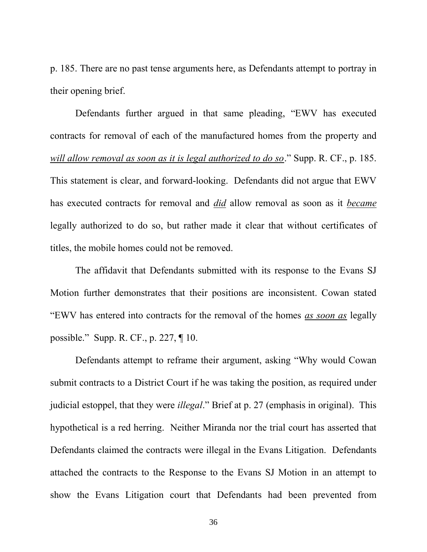p. 185. There are no past tense arguments here, as Defendants attempt to portray in their opening brief.

Defendants further argued in that same pleading, "EWV has executed contracts for removal of each of the manufactured homes from the property and *will allow removal as soon as it is legal authorized to do so*." Supp. R. CF., p. 185. This statement is clear, and forward-looking. Defendants did not argue that EWV has executed contracts for removal and *did* allow removal as soon as it *became* legally authorized to do so, but rather made it clear that without certificates of titles, the mobile homes could not be removed.

The affidavit that Defendants submitted with its response to the Evans SJ Motion further demonstrates that their positions are inconsistent. Cowan stated "EWV has entered into contracts for the removal of the homes *as soon as* legally possible." Supp. R. CF., p. 227, ¶ 10.

Defendants attempt to reframe their argument, asking "Why would Cowan submit contracts to a District Court if he was taking the position, as required under judicial estoppel, that they were *illegal*." Brief at p. 27 (emphasis in original). This hypothetical is a red herring. Neither Miranda nor the trial court has asserted that Defendants claimed the contracts were illegal in the Evans Litigation. Defendants attached the contracts to the Response to the Evans SJ Motion in an attempt to show the Evans Litigation court that Defendants had been prevented from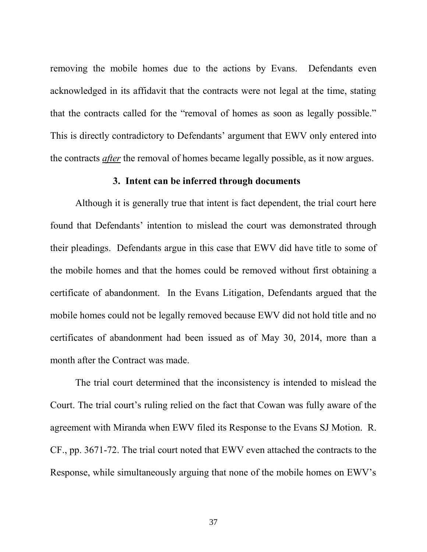removing the mobile homes due to the actions by Evans. Defendants even acknowledged in its affidavit that the contracts were not legal at the time, stating that the contracts called for the "removal of homes as soon as legally possible." This is directly contradictory to Defendants' argument that EWV only entered into the contracts *after* the removal of homes became legally possible, as it now argues.

### **3. Intent can be inferred through documents**

Although it is generally true that intent is fact dependent, the trial court here found that Defendants' intention to mislead the court was demonstrated through their pleadings. Defendants argue in this case that EWV did have title to some of the mobile homes and that the homes could be removed without first obtaining a certificate of abandonment. In the Evans Litigation, Defendants argued that the mobile homes could not be legally removed because EWV did not hold title and no certificates of abandonment had been issued as of May 30, 2014, more than a month after the Contract was made.

The trial court determined that the inconsistency is intended to mislead the Court. The trial court's ruling relied on the fact that Cowan was fully aware of the agreement with Miranda when EWV filed its Response to the Evans SJ Motion. R. CF., pp. 3671-72. The trial court noted that EWV even attached the contracts to the Response, while simultaneously arguing that none of the mobile homes on EWV's

37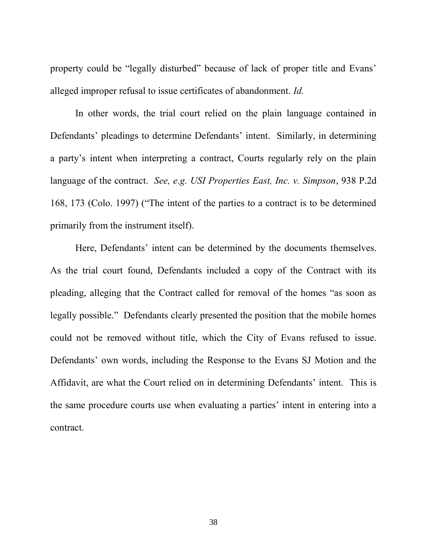property could be "legally disturbed" because of lack of proper title and Evans' alleged improper refusal to issue certificates of abandonment. *Id.*

In other words, the trial court relied on the plain language contained in Defendants' pleadings to determine Defendants' intent. Similarly, in determining a party's intent when interpreting a contract, Courts regularly rely on the plain language of the contract. *See, e.g. USI Properties East, Inc. v. Simpson*, 938 P.2d 168, 173 (Colo. 1997) ("The intent of the parties to a contract is to be determined primarily from the instrument itself).

Here, Defendants' intent can be determined by the documents themselves. As the trial court found, Defendants included a copy of the Contract with its pleading, alleging that the Contract called for removal of the homes "as soon as legally possible." Defendants clearly presented the position that the mobile homes could not be removed without title, which the City of Evans refused to issue. Defendants' own words, including the Response to the Evans SJ Motion and the Affidavit, are what the Court relied on in determining Defendants' intent. This is the same procedure courts use when evaluating a parties' intent in entering into a contract.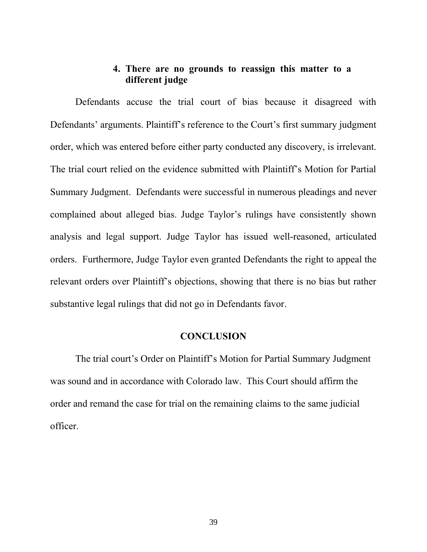# **4. There are no grounds to reassign this matter to a different judge**

Defendants accuse the trial court of bias because it disagreed with Defendants' arguments. Plaintiff's reference to the Court's first summary judgment order, which was entered before either party conducted any discovery, is irrelevant. The trial court relied on the evidence submitted with Plaintiff's Motion for Partial Summary Judgment. Defendants were successful in numerous pleadings and never complained about alleged bias. Judge Taylor's rulings have consistently shown analysis and legal support. Judge Taylor has issued well-reasoned, articulated orders. Furthermore, Judge Taylor even granted Defendants the right to appeal the relevant orders over Plaintiff's objections, showing that there is no bias but rather substantive legal rulings that did not go in Defendants favor.

#### **CONCLUSION**

The trial court's Order on Plaintiff's Motion for Partial Summary Judgment was sound and in accordance with Colorado law. This Court should affirm the order and remand the case for trial on the remaining claims to the same judicial officer.